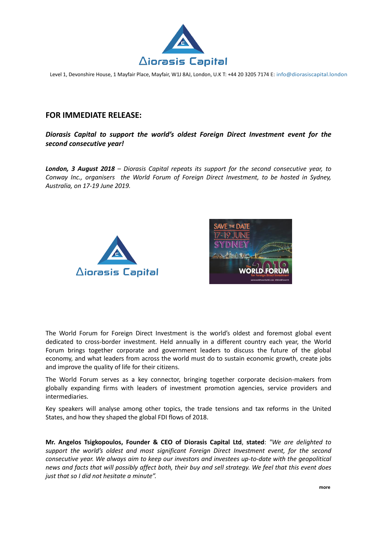

Level 1, Devonshire House, 1 Mayfair Place, Mayfair, W1J 8AJ, London, U.K T: +44 20 3205 7174 E: info@diorasiscapital.london

## **FOR IMMEDIATE RELEASE:**

## *Diorasis Capital to support the world's oldest Foreign Direct Investment event for the second consecutive year!*

*London, 3 August 2018 – Diorasis Capital repeats its support for the second consecutive year, to Conway Inc., organisers the World Forum of Foreign Direct Investment, to be hosted in Sydney, Australia, on 17-19 June 2019.*





The World Forum for Foreign Direct Investment is the world's oldest and foremost global event dedicated to cross-border investment. Held annually in a different country each year, the World Forum brings together corporate and government leaders to discuss the future of the global economy, and what leaders from across the world must do to sustain economic growth, create jobs and improve the quality of life for their citizens.

The World Forum serves as a key connector, bringing together corporate decision-makers from globally expanding firms with leaders of investment promotion agencies, service providers and intermediaries.

Key speakers will analyse among other topics, the trade tensions and tax reforms in the United States, and how they shaped the global FDI flows of 2018.

**Mr. Angelos Tsigkopoulos, Founder & CEO of Diorasis Capital Ltd**, **stated**: *"We are delighted to support the world's oldest and most significant Foreign Direct Investment event, for the second consecutive year. We always aim to keep our investors and investees up-to-date with the geopolitical news and facts that will possibly affect both, their buy and sell strategy. We feel that this event does just that so I did not hesitate a minute".*